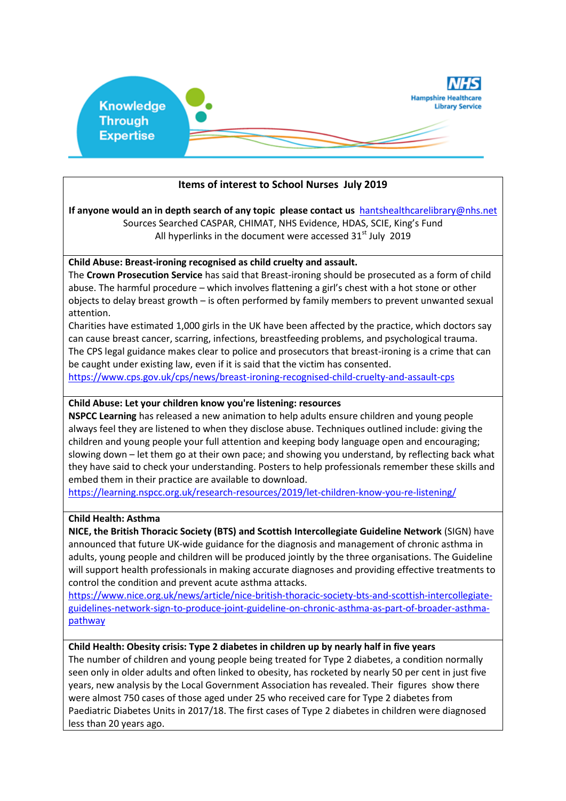

# **Items of interest to School Nurses July 2019**

**If anyone would an in depth search of any topic please contact us** [hantshealthcarelibrary@nhs.net](mailto:hantshealthcarelibrary@nhs.net) Sources Searched CASPAR, CHIMAT, NHS Evidence, HDAS, SCIE, King's Fund All hyperlinks in the document were accessed  $31<sup>st</sup>$  July 2019

#### **Child Abuse: Breast-ironing recognised as child cruelty and assault.**

The **Crown Prosecution Service** has said that Breast-ironing should be prosecuted as a form of child abuse. The harmful procedure – which involves flattening a girl's chest with a hot stone or other objects to delay breast growth – is often performed by family members to prevent unwanted sexual attention.

Charities have estimated 1,000 girls in the UK have been affected by the practice, which doctors say can cause breast cancer, scarring, infections, breastfeeding problems, and psychological trauma. The CPS legal guidance makes clear to police and prosecutors that breast-ironing is a crime that can be caught under existing law, even if it is said that the victim has consented.

<https://www.cps.gov.uk/cps/news/breast-ironing-recognised-child-cruelty-and-assault-cps>

#### **Child Abuse: Let your children know you're listening: resources**

**NSPCC Learning** has released a new animation to help adults ensure children and young people always feel they are listened to when they disclose abuse. Techniques outlined include: giving the children and young people your full attention and keeping body language open and encouraging; slowing down – let them go at their own pace; and showing you understand, by reflecting back what they have said to check your understanding. Posters to help professionals remember these skills and embed them in their practice are available to download.

<https://learning.nspcc.org.uk/research-resources/2019/let-children-know-you-re-listening/>

#### **Child Health: Asthma**

**NICE, the British Thoracic Society (BTS) and Scottish Intercollegiate Guideline Network** (SIGN) have announced that future UK-wide guidance for the diagnosis and management of chronic asthma in adults, young people and children will be produced jointly by the three organisations. The Guideline will support health professionals in making accurate diagnoses and providing effective treatments to control the condition and prevent acute asthma attacks.

[https://www.nice.org.uk/news/article/nice-british-thoracic-society-bts-and-scottish-intercollegiate](https://www.nice.org.uk/news/article/nice-british-thoracic-society-bts-and-scottish-intercollegiate-guidelines-network-sign-to-produce-joint-guideline-on-chronic-asthma-as-part-of-broader-asthma-pathway)[guidelines-network-sign-to-produce-joint-guideline-on-chronic-asthma-as-part-of-broader-asthma](https://www.nice.org.uk/news/article/nice-british-thoracic-society-bts-and-scottish-intercollegiate-guidelines-network-sign-to-produce-joint-guideline-on-chronic-asthma-as-part-of-broader-asthma-pathway)[pathway](https://www.nice.org.uk/news/article/nice-british-thoracic-society-bts-and-scottish-intercollegiate-guidelines-network-sign-to-produce-joint-guideline-on-chronic-asthma-as-part-of-broader-asthma-pathway)

#### **Child Health: Obesity crisis: Type 2 diabetes in children up by nearly half in five years**

The number of children and young people being treated for Type 2 diabetes, a condition normally seen only in older adults and often linked to obesity, has rocketed by nearly 50 per cent in just five years, new analysis by the Local Government Association has revealed. Their figures show there were almost 750 cases of those aged under 25 who received care for Type 2 diabetes from Paediatric Diabetes Units in 2017/18. The first cases of Type 2 diabetes in children were diagnosed less than 20 years ago.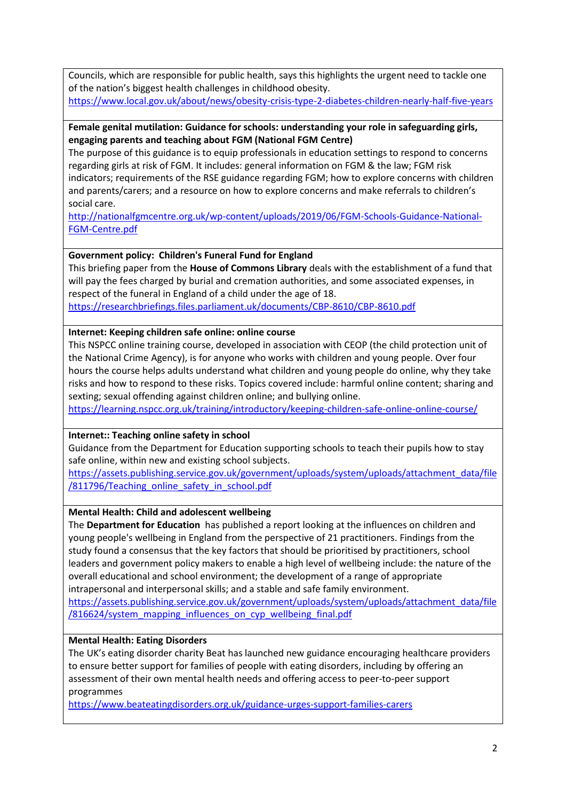Councils, which are responsible for public health, says this highlights the urgent need to tackle one of the nation's biggest health challenges in childhood obesity. <https://www.local.gov.uk/about/news/obesity-crisis-type-2-diabetes-children-nearly-half-five-years>

#### **Female genital mutilation: Guidance for schools: understanding your role in safeguarding girls, engaging parents and teaching about FGM (National FGM Centre)**

The purpose of this guidance is to equip professionals in education settings to respond to concerns regarding girls at risk of FGM. It includes: general information on FGM & the law; FGM risk indicators; requirements of the RSE guidance regarding FGM; how to explore concerns with children and parents/carers; and a resource on how to explore concerns and make referrals to children's social care.

[http://nationalfgmcentre.org.uk/wp-content/uploads/2019/06/FGM-Schools-Guidance-National-](http://nationalfgmcentre.org.uk/wp-content/uploads/2019/06/FGM-Schools-Guidance-National-FGM-Centre.pdf)[FGM-Centre.pdf](http://nationalfgmcentre.org.uk/wp-content/uploads/2019/06/FGM-Schools-Guidance-National-FGM-Centre.pdf)

# **Government policy: Children's Funeral Fund for England**

This briefing paper from the **House of Commons Library** deals with the establishment of a fund that will pay the fees charged by burial and cremation authorities, and some associated expenses, in respect of the funeral in England of a child under the age of 18.

<https://researchbriefings.files.parliament.uk/documents/CBP-8610/CBP-8610.pdf>

## **Internet: Keeping children safe online: online course**

This NSPCC online training course, developed in association with CEOP (the child protection unit of the National Crime Agency), is for anyone who works with children and young people. Over four hours the course helps adults understand what children and young people do online, why they take risks and how to respond to these risks. Topics covered include: harmful online content; sharing and sexting; sexual offending against children online; and bullying online.

<https://learning.nspcc.org.uk/training/introductory/keeping-children-safe-online-online-course/>

## **Internet:: Teaching online safety in school**

Guidance from the Department for Education supporting schools to teach their pupils how to stay safe online, within new and existing school subjects.

[https://assets.publishing.service.gov.uk/government/uploads/system/uploads/attachment\\_data/file](https://assets.publishing.service.gov.uk/government/uploads/system/uploads/attachment_data/file/811796/Teaching_online_safety_in_school.pdf) [/811796/Teaching\\_online\\_safety\\_in\\_school.pdf](https://assets.publishing.service.gov.uk/government/uploads/system/uploads/attachment_data/file/811796/Teaching_online_safety_in_school.pdf)

## **Mental Health: Child and adolescent wellbeing**

The **Department for Education** has published a report looking at the influences on children and young people's wellbeing in England from the perspective of 21 practitioners. Findings from the study found a consensus that the key factors that should be prioritised by practitioners, school leaders and government policy makers to enable a high level of wellbeing include: the nature of the overall educational and school environment; the development of a range of appropriate intrapersonal and interpersonal skills; and a stable and safe family environment.

[https://assets.publishing.service.gov.uk/government/uploads/system/uploads/attachment\\_data/file](https://assets.publishing.service.gov.uk/government/uploads/system/uploads/attachment_data/file/816624/system_mapping_influences_on_cyp_wellbeing_final.pdf) [/816624/system\\_mapping\\_influences\\_on\\_cyp\\_wellbeing\\_final.pdf](https://assets.publishing.service.gov.uk/government/uploads/system/uploads/attachment_data/file/816624/system_mapping_influences_on_cyp_wellbeing_final.pdf)

## **Mental Health: Eating Disorders**

The UK's eating disorder charity Beat has launched new guidance encouraging healthcare providers to ensure better support for families of people with eating disorders, including by offering an assessment of their own mental health needs and offering access to peer-to-peer support programmes

<https://www.beateatingdisorders.org.uk/guidance-urges-support-families-carers>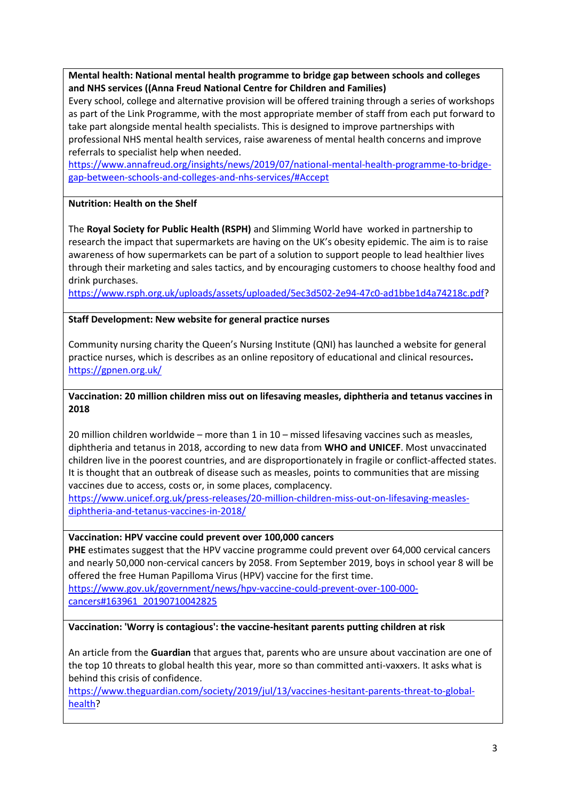**Mental health: National mental health programme to bridge gap between schools and colleges and NHS services ((Anna Freud National Centre for Children and Families)**

Every school, college and alternative provision will be offered training through a series of workshops as part of the Link Programme, with the most appropriate member of staff from each put forward to take part alongside mental health specialists. This is designed to improve partnerships with professional NHS mental health services, raise awareness of mental health concerns and improve referrals to specialist help when needed.

[https://www.annafreud.org/insights/news/2019/07/national-mental-health-programme-to-bridge](https://www.annafreud.org/insights/news/2019/07/national-mental-health-programme-to-bridge-gap-between-schools-and-colleges-and-nhs-services/#Accept)[gap-between-schools-and-colleges-and-nhs-services/#Accept](https://www.annafreud.org/insights/news/2019/07/national-mental-health-programme-to-bridge-gap-between-schools-and-colleges-and-nhs-services/#Accept)

## **Nutrition: Health on the Shelf**

The **Royal Society for Public Health (RSPH)** and Slimming World have worked in partnership to research the impact that supermarkets are having on the UK's obesity epidemic. The aim is to raise awareness of how supermarkets can be part of a solution to support people to lead healthier lives through their marketing and sales tactics, and by encouraging customers to choose healthy food and drink purchases.

[https://www.rsph.org.uk/uploads/assets/uploaded/5ec3d502-2e94-47c0-ad1bbe1d4a74218c.pdf?](https://www.rsph.org.uk/uploads/assets/uploaded/5ec3d502-2e94-47c0-ad1bbe1d4a74218c.pdf)

#### **Staff Development: New website for general practice nurses**

Community nursing charity the Queen's Nursing Institute (QNI) has launched a website for general practice nurses, which is describes as an online repository of educational and clinical resources**.** <https://gpnen.org.uk/>

## **Vaccination: 20 million children miss out on lifesaving measles, diphtheria and tetanus vaccines in 2018**

20 million children worldwide – more than 1 in 10 – missed lifesaving vaccines such as measles, diphtheria and tetanus in 2018, according to new data from **WHO and UNICEF**. Most unvaccinated children live in the poorest countries, and are disproportionately in fragile or conflict-affected states. It is thought that an outbreak of disease such as measles, points to communities that are missing vaccines due to access, costs or, in some places, complacency.

[https://www.unicef.org.uk/press-releases/20-million-children-miss-out-on-lifesaving-measles](https://www.unicef.org.uk/press-releases/20-million-children-miss-out-on-lifesaving-measles-diphtheria-and-tetanus-vaccines-in-2018/)[diphtheria-and-tetanus-vaccines-in-2018/](https://www.unicef.org.uk/press-releases/20-million-children-miss-out-on-lifesaving-measles-diphtheria-and-tetanus-vaccines-in-2018/)

#### **Vaccination: HPV vaccine could prevent over 100,000 cancers**

PHE estimates suggest that the HPV vaccine programme could prevent over 64,000 cervical cancers and nearly 50,000 non-cervical cancers by 2058. From September 2019, boys in school year 8 will be offered the free Human Papilloma Virus (HPV) vaccine for the first time.

[https://www.gov.uk/government/news/hpv-vaccine-could-prevent-over-100-000](https://www.gov.uk/government/news/hpv-vaccine-could-prevent-over-100-000-cancers#163961_20190710042825) [cancers#163961\\_20190710042825](https://www.gov.uk/government/news/hpv-vaccine-could-prevent-over-100-000-cancers#163961_20190710042825)

## **Vaccination: 'Worry is contagious': the vaccine-hesitant parents putting children at risk**

An article from the **Guardian** that argues that, parents who are unsure about vaccination are one of the top 10 threats to global health this year, more so than committed anti-vaxxers. It asks what is behind this crisis of confidence.

[https://www.theguardian.com/society/2019/jul/13/vaccines-hesitant-parents-threat-to-global](https://www.theguardian.com/society/2019/jul/13/vaccines-hesitant-parents-threat-to-global-health)[health?](https://www.theguardian.com/society/2019/jul/13/vaccines-hesitant-parents-threat-to-global-health)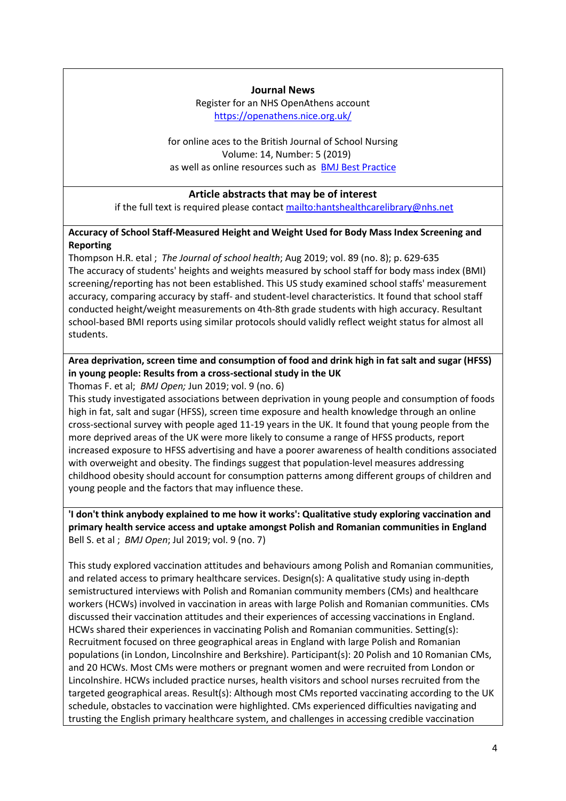#### **Journal News**

Register for an NHS OpenAthens account <https://openathens.nice.org.uk/>

for online aces to the British Journal of School Nursing Volume: 14, Number: 5 (2019) as well as online resources such as [BMJ Best Practice](https://bestpractice.bmj.com/)

#### **Article abstracts that may be of interest**

if the full text is required please contact <mailto:hantshealthcarelibrary@nhs.net>

## **Accuracy of School Staff-Measured Height and Weight Used for Body Mass Index Screening and Reporting**

Thompson H.R. etal ; *The Journal of school health*; Aug 2019; vol. 89 (no. 8); p. 629-635 The accuracy of students' heights and weights measured by school staff for body mass index (BMI) screening/reporting has not been established. This US study examined school staffs' measurement accuracy, comparing accuracy by staff- and student-level characteristics. It found that school staff conducted height/weight measurements on 4th-8th grade students with high accuracy. Resultant school-based BMI reports using similar protocols should validly reflect weight status for almost all students.

# **Area deprivation, screen time and consumption of food and drink high in fat salt and sugar (HFSS) in young people: Results from a cross-sectional study in the UK**

Thomas F. et al; *BMJ Open;* Jun 2019; vol. 9 (no. 6)

This study investigated associations between deprivation in young people and consumption of foods high in fat, salt and sugar (HFSS), screen time exposure and health knowledge through an online cross-sectional survey with people aged 11-19 years in the UK. It found that young people from the more deprived areas of the UK were more likely to consume a range of HFSS products, report increased exposure to HFSS advertising and have a poorer awareness of health conditions associated with overweight and obesity. The findings suggest that population-level measures addressing childhood obesity should account for consumption patterns among different groups of children and young people and the factors that may influence these.

**'I don't think anybody explained to me how it works': Qualitative study exploring vaccination and primary health service access and uptake amongst Polish and Romanian communities in England** Bell S. et al ; *BMJ Open*; Jul 2019; vol. 9 (no. 7)

This study explored vaccination attitudes and behaviours among Polish and Romanian communities, and related access to primary healthcare services. Design(s): A qualitative study using in-depth semistructured interviews with Polish and Romanian community members (CMs) and healthcare workers (HCWs) involved in vaccination in areas with large Polish and Romanian communities. CMs discussed their vaccination attitudes and their experiences of accessing vaccinations in England. HCWs shared their experiences in vaccinating Polish and Romanian communities. Setting(s): Recruitment focused on three geographical areas in England with large Polish and Romanian populations (in London, Lincolnshire and Berkshire). Participant(s): 20 Polish and 10 Romanian CMs, and 20 HCWs. Most CMs were mothers or pregnant women and were recruited from London or Lincolnshire. HCWs included practice nurses, health visitors and school nurses recruited from the targeted geographical areas. Result(s): Although most CMs reported vaccinating according to the UK schedule, obstacles to vaccination were highlighted. CMs experienced difficulties navigating and trusting the English primary healthcare system, and challenges in accessing credible vaccination